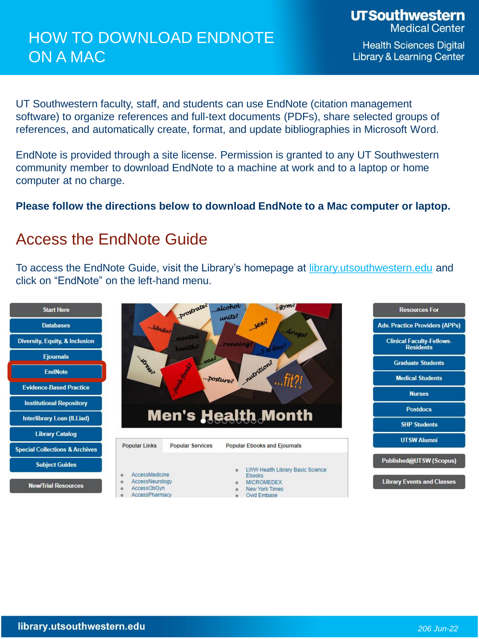**UTSouthwestern Medical Center** 

**Health Sciences Digital Library & Learning Center** 

UT Southwestern faculty, staff, and students can use EndNote (citation management software) to organize references and full-text documents (PDFs), share selected groups of references, and automatically create, format, and update bibliographies in Microsoft Word.

EndNote is provided through a site license. Permission is granted to any UT Southwestern community member to download EndNote to a machine at work and to a laptop or home computer at no charge.

**Please follow the directions below to download EndNote to a Mac computer or laptop.**

## Access the EndNote Guide

To access the EndNote Guide, visit the Library's homepage at [library.utsouthwestern.edu](https://library.utsouthwestern.edu/main/portals/jpull2.aspx?828) and click on "EndNote" on the left-hand menu.

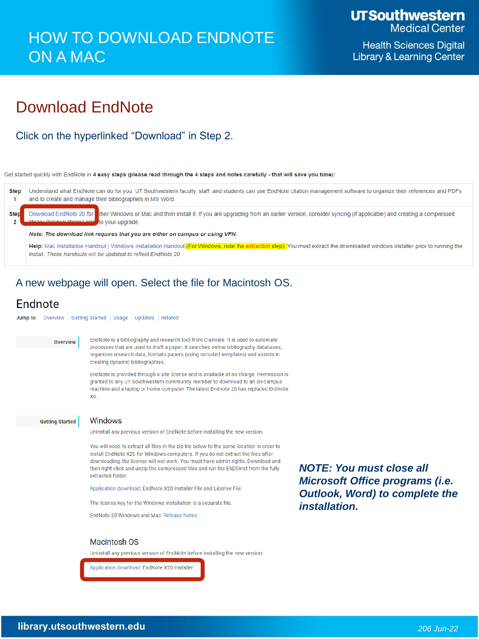**Health Sciences Digital Library & Learning Center** 

## **Download EndNote**

Click on the hyperlinked "Download" in Step 2.

Get started quickly with EndNote in 4 easy steps (please read through the 4 steps and notes carefully - that will save you time):

Understand what EndNote can do for you. UT Southwestern faculty, staff, and students can use EndNote citation management software to organize their references and PDFs **Step** and to create and manage their bibliographies in MS Word.  $\blacktriangleleft$ **Step** 

Download EndNote 20 for ther Windows or Mac and then install it. If you are upgrading from an earlier version, consider syncing (if applicable) and creating a compressed to your upgrade

Note: The download link requires that you are either on campus or using VPN.

Help: Mac Installation Handout | Windows Installation Handout (For Windows, note the extraction step). You must extract the downloaded windows installer prior to running the install. These handouts will be updated to reflect EndNote 20.

### A new webpage will open. Select the file for Macintosh OS.

### Endnote

Jump to: Overview | Getting Started | Usage | Updates | Related

Overview

EndNote is a bibliography and research tool from Clarivate. It is used to automate processes that are used to draft a paper. It searches online bibliography databases, organizes research data, formats papers (using included templates) and assists in creating dynamic bibliographies.

EndNote is provided through a site license and is available at no charge. Permission is granted to any UT Southwestern community member to download to an on-campus machine and a laptop or home computer. The latest Endnote 20 has replaced Endnote X9

**Getting Started** 

#### Windows

Uninstall any previous version of EndNote before installing the new version.

You will need to extract all files in the zip file below to the same location in order to install EndNote X20 for Windows computers. If you do not extract the files after downloading, the license will not work. You must have admin rights. Download and then right-click and unzip the compressed files and run the EN20Inst from the fully extracted folder.

Application download: EndNote X20 Installer File and License File

The license key for the Windows installation is a separate file.

EndNote 20 Windows and Mac: Release Notes

**NOTE: You must close all** Microsoft Office programs (i.e. **Outlook, Word) to complete the** installation.

#### **Macintosh OS**

Uninstall any previous version of EndNote before installing the new version.

Application download: EndNote X20 Installer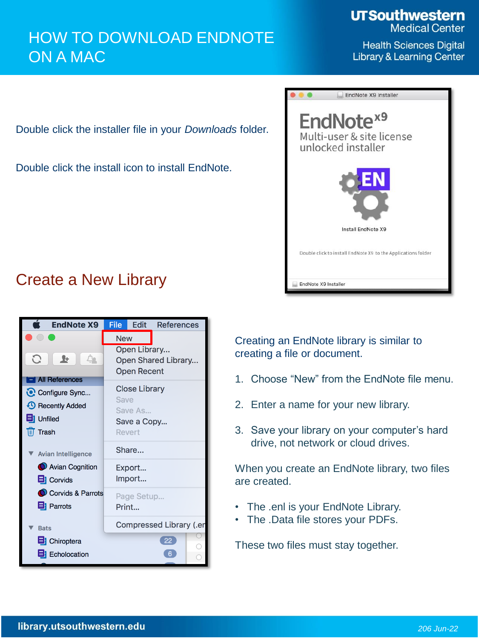**UTSouthwestern Medical Center** 

**Health Sciences Digital Library & Learning Center** 

Double click the installer file in your *Downloads* folder.

Double click the install icon to install EndNote.



## Create a New Library



Creating an EndNote library is similar to creating a file or document.

- 1. Choose "New" from the EndNote file menu.
- 2. Enter a name for your new library.
- 3. Save your library on your computer's hard drive, not network or cloud drives.

When you create an EndNote library, two files are created.

- The .enl is your EndNote Library.
- The .Data file stores your PDFs.

These two files must stay together.